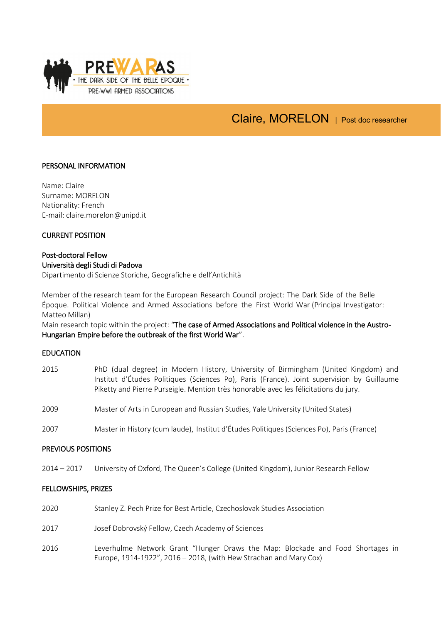

# Claire, MORELON | Post doc researcher

# PERSONAL INFORMATION

Name: Claire Surname: MORELON Nationality: French E-mail: claire.morelon@unipd.it

# CURRENT POSITION

### Post-doctoral Fellow Università degli Studi di Padova

Dipartimento di Scienze Storiche, Geografiche e dell'Antichità

Member of the research team for the European Research Council project: The Dark Side of the Belle Époque. Political Violence and Armed Associations before the First World War (Principal Investigator: Matteo Millan)

Main research topic within the project: "The case of Armed Associations and Political violence in the Austro-Hungarian Empire before the outbreak of the first World War".

### EDUCATION

2015 PhD (dual degree) in Modern History, University of Birmingham (United Kingdom) and Institut d'Études Politiques (Sciences Po), Paris (France). Joint supervision by Guillaume Piketty and Pierre Purseigle. Mention très honorable avec les félicitations du jury. 2009 Master of Arts in European and Russian Studies, Yale University (United States) 2007 Master in History (cum laude), Institut d'Études Politiques (Sciences Po), Paris (France)

# PREVIOUS POSITIONS

2014 – 2017 University of Oxford, The Queen's College (United Kingdom), Junior Research Fellow

### FELLOWSHIPS, PRIZES

- 2020 Stanley Z. Pech Prize for Best Article, Czechoslovak Studies Association
- 2017 Josef Dobrovský Fellow, Czech Academy of Sciences
- 2016 Leverhulme Network Grant "Hunger Draws the Map: Blockade and Food Shortages in Europe, 1914-1922", 2016 – 2018, (with Hew Strachan and Mary Cox)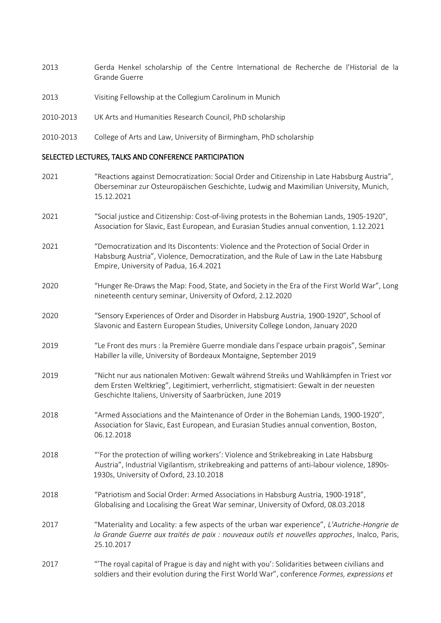- 2013 Gerda Henkel scholarship of the Centre International de Recherche de l'Historial de la Grande Guerre
- 2013 Visiting Fellowship at the Collegium Carolinum in Munich
- 2010-2013 UK Arts and Humanities Research Council, PhD scholarship
- 2010-2013 College of Arts and Law, University of Birmingham, PhD scholarship

### SELECTED LECTURES, TALKS AND CONFERENCE PARTICIPATION

- 2021 "Reactions against Democratization: Social Order and Citizenship in Late Habsburg Austria", Oberseminar zur Osteuropäischen Geschichte, Ludwig and Maximilian University, Munich, 15.12.2021
- 2021 "Social justice and Citizenship: Cost-of-living protests in the Bohemian Lands, 1905-1920", Association for Slavic, East European, and Eurasian Studies annual convention, 1.12.2021
- 2021 "Democratization and Its Discontents: Violence and the Protection of Social Order in Habsburg Austria", Violence, Democratization, and the Rule of Law in the Late Habsburg Empire, University of Padua, 16.4.2021
- 2020 "Hunger Re-Draws the Map: Food, State, and Society in the Era of the First World War", Long nineteenth century seminar, University of Oxford, 2.12.2020
- 2020 "Sensory Experiences of Order and Disorder in Habsburg Austria, 1900-1920", School of Slavonic and Eastern European Studies, University College London, January 2020
- 2019 "Le Front des murs : la Première Guerre mondiale dans l'espace urbain pragois", Seminar Habiller la ville, University of Bordeaux Montaigne, September 2019
- 2019 "Nicht nur aus nationalen Motiven: Gewalt während Streiks und Wahlkämpfen in Triest vor dem Ersten Weltkrieg", Legitimiert, verherrlicht, stigmatisiert: Gewalt in der neuesten Geschichte Italiens, University of Saarbrücken, June 2019
- 2018 "Armed Associations and the Maintenance of Order in the Bohemian Lands, 1900-1920", Association for Slavic, East European, and Eurasian Studies annual convention, Boston, 06.12.2018
- 2018 "'For the protection of willing workers': Violence and Strikebreaking in Late Habsburg Austria", Industrial Vigilantism, strikebreaking and patterns of anti-labour violence, 1890s- 1930s, University of Oxford, 23.10.2018
- 2018 "Patriotism and Social Order: Armed Associations in Habsburg Austria, 1900-1918", Globalising and Localising the Great War seminar, University of Oxford, 08.03.2018
- 2017 "Materiality and Locality: a few aspects of the urban war experience", *L'Autriche-Hongrie de la Grande Guerre aux traités de paix : nouveaux outils et nouvelles approches*, Inalco, Paris, 25.10.2017
- 2017 "'The royal capital of Prague is day and night with you': Solidarities between civilians and soldiers and their evolution during the First World War", conference *Formes, expressions et*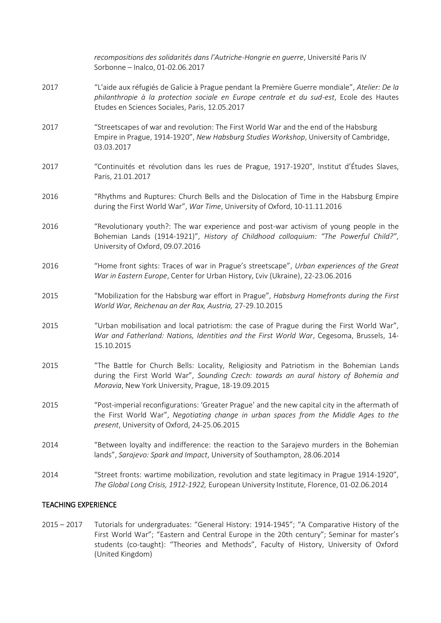|      | recompositions des solidarités dans l'Autriche-Hongrie en guerre, Université Paris IV<br>Sorbonne - Inalco, 01-02.06.2017                                                                                                                   |
|------|---------------------------------------------------------------------------------------------------------------------------------------------------------------------------------------------------------------------------------------------|
| 2017 | "L'aide aux réfugiés de Galicie à Prague pendant la Première Guerre mondiale", Atelier: De la<br>philanthropie à la protection sociale en Europe centrale et du sud-est, Ecole des Hautes<br>Etudes en Sciences Sociales, Paris, 12.05.2017 |
| 2017 | "Streetscapes of war and revolution: The First World War and the end of the Habsburg<br>Empire in Prague, 1914-1920", New Habsburg Studies Workshop, University of Cambridge,<br>03.03.2017                                                 |
| 2017 | "Continuités et révolution dans les rues de Prague, 1917-1920", Institut d'Études Slaves,<br>Paris, 21.01.2017                                                                                                                              |
| 2016 | "Rhythms and Ruptures: Church Bells and the Dislocation of Time in the Habsburg Empire<br>during the First World War", War Time, University of Oxford, 10-11.11.2016                                                                        |
| 2016 | "Revolutionary youth?: The war experience and post-war activism of young people in the<br>Bohemian Lands (1914-1921)", History of Childhood colloquium: "The Powerful Child?",<br>University of Oxford, 09.07.2016                          |
| 2016 | "Home front sights: Traces of war in Prague's streetscape", Urban experiences of the Great<br>War in Eastern Europe, Center for Urban History, L'viv (Ukraine), 22-23.06.2016                                                               |
| 2015 | "Mobilization for the Habsburg war effort in Prague", Habsburg Homefronts during the First<br>World War, Reichenau an der Rax, Austria, 27-29.10.2015                                                                                       |
| 2015 | "Urban mobilisation and local patriotism: the case of Prague during the First World War",<br>War and Fatherland: Nations, Identities and the First World War, Cegesoma, Brussels, 14-<br>15.10.2015                                         |
| 2015 | "The Battle for Church Bells: Locality, Religiosity and Patriotism in the Bohemian Lands<br>during the First World War", Sounding Czech: towards an aural history of Bohemia and<br>Moravia, New York University, Prague, 18-19.09.2015     |
| 2015 | "Post-imperial reconfigurations: 'Greater Prague' and the new capital city in the aftermath of<br>the First World War", Negotiating change in urban spaces from the Middle Ages to the<br>present, University of Oxford, 24-25.06.2015      |
| 2014 | "Between loyalty and indifference: the reaction to the Sarajevo murders in the Bohemian<br>lands", Sarajevo: Spark and Impact, University of Southampton, 28.06.2014                                                                        |
| 2014 | "Street fronts: wartime mobilization, revolution and state legitimacy in Prague 1914-1920",<br>The Global Long Crisis, 1912-1922, European University Institute, Florence, 01-02.06.2014                                                    |

# TEACHING EXPERIENCE

2015 – 2017 Tutorials for undergraduates: "General History: 1914-1945"; "A Comparative History of the First World War"; "Eastern and Central Europe in the 20th century"; Seminar for master's students (co-taught): "Theories and Methods", Faculty of History, University of Oxford (United Kingdom)